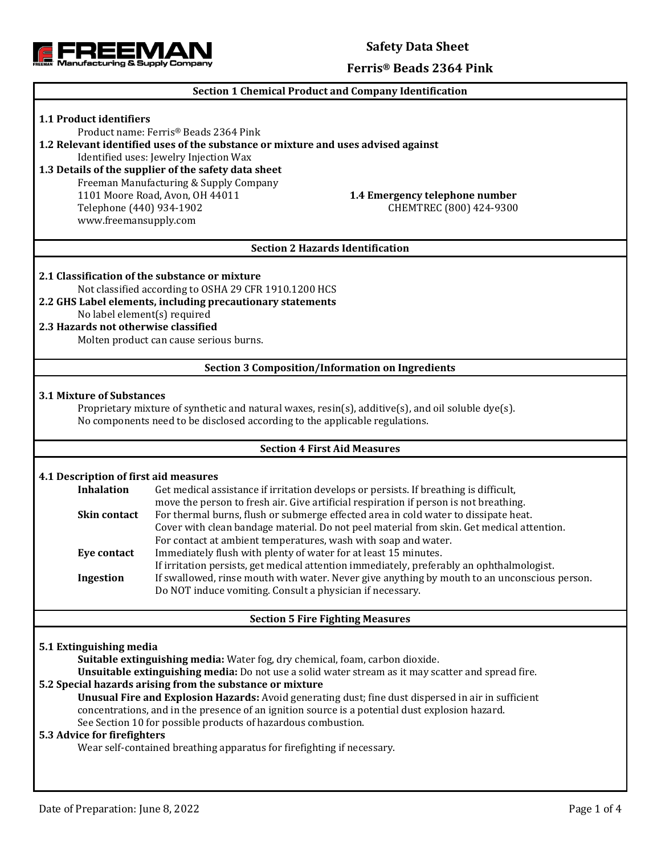

### **Safety Data Sheet**

#### **Ferris® Beads 2364 Pink**

#### **Section 1 Chemical Product and Company Identification**

# **1.1 Product identifiers** Product name: Ferris® Beads 2364 Pink **1.2 Relevant identified uses of the substance or mixture and uses advised against** Identified uses: Jewelry Injection Wax **1.3 Details of the supplier of the safety data sheet** Freeman Manufacturing & Supply Company 1101 Moore Road, Avon, OH 44011 **1.4 Emergency telephone number** Telephone (440) 934-1902 CHEMTREC (800) 424-9300 www.freemansupply.com **Section 2 Hazards Identification 2.1 Classification of the substance or mixture** Not classified according to OSHA 29 CFR 1910.1200 HCS **2.2 GHS Label elements, including precautionary statements** No label element(s) required **2.3 Hazards not otherwise classified** Molten product can cause serious burns. **Section 3 Composition/Information on Ingredients 3.1 Mixture of Substances** Proprietary mixture of synthetic and natural waxes, resin(s), additive(s), and oil soluble dye(s). No components need to be disclosed according to the applicable regulations. **Section 4 First Aid Measures 4.1 Description of first aid measures Inhalation** Get medical assistance if irritation develops or persists. If breathing is difficult, move the person to fresh air. Give artificial respiration if person is not breathing. **Skin contact** For thermal burns, flush or submerge effected area in cold water to dissipate heat. Cover with clean bandage material. Do not peel material from skin. Get medical attention. For contact at ambient temperatures, wash with soap and water. **Eye contact** Immediately flush with plenty of water for at least 15 minutes. If irritation persists, get medical attention immediately, preferably an ophthalmologist. **Ingestion** If swallowed, rinse mouth with water. Never give anything by mouth to an unconscious person. Do NOT induce vomiting. Consult a physician if necessary. **Section 5 Fire Fighting Measures 5.1 Extinguishing media Suitable extinguishing media:** Water fog, dry chemical, foam, carbon dioxide. **Unsuitable extinguishing media:** Do not use a solid water stream as it may scatter and spread fire. **5.2 Special hazards arising from the substance or mixture Unusual Fire and Explosion Hazards:** Avoid generating dust; fine dust dispersed in air in sufficient concentrations, and in the presence of an ignition source is a potential dust explosion hazard. See Section 10 for possible products of hazardous combustion. **5.3 Advice for firefighters** Wear self-contained breathing apparatus for firefighting if necessary.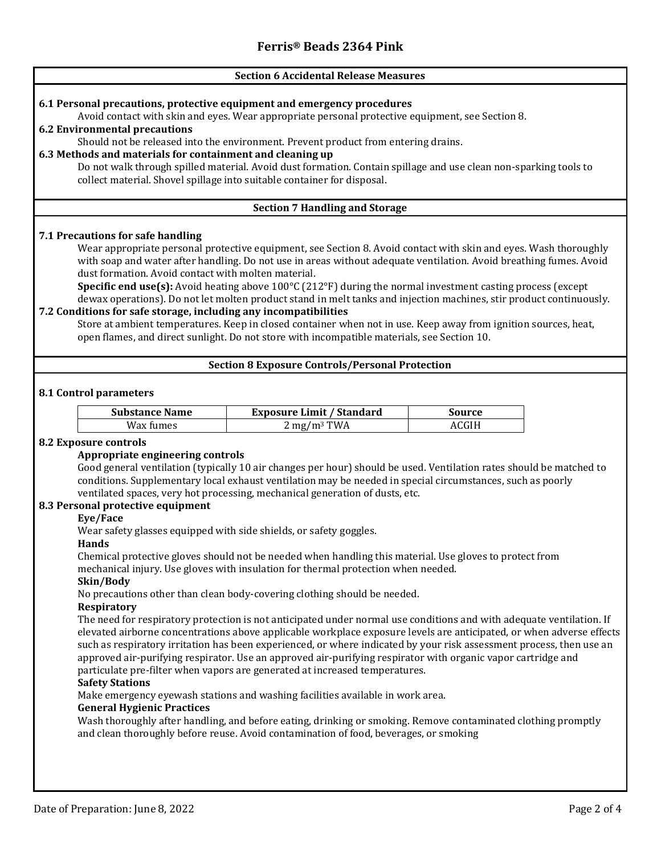## **Section 6 Accidental Release Measures 6.1 Personal precautions, protective equipment and emergency procedures** Avoid contact with skin and eyes. Wear appropriate personal protective equipment, see Section 8. **6.2 Environmental precautions** Should not be released into the environment. Prevent product from entering drains. **6.3 Methods and materials for containment and cleaning up** Do not walk through spilled material. Avoid dust formation. Contain spillage and use clean non-sparking tools to collect material. Shovel spillage into suitable container for disposal. **Section 7 Handling and Storage 7.1 Precautions for safe handling** Wear appropriate personal protective equipment, see Section 8. Avoid contact with skin and eyes. Wash thoroughly with soap and water after handling. Do not use in areas without adequate ventilation. Avoid breathing fumes. Avoid dust formation. Avoid contact with molten material. **Specific end use(s):** Avoid heating above 100°C (212°F) during the normal investment casting process (except dewax operations). Do not let molten product stand in melt tanks and injection machines, stir product continuously. **7.2 Conditions for safe storage, including any incompatibilities** Store at ambient temperatures. Keep in closed container when not in use. Keep away from ignition sources, heat, open flames, and direct sunlight. Do not store with incompatible materials, see Section 10. **Section 8 Exposure Controls/Personal Protection 8.1 Control parameters Substance Name Exposure Limit / Standard Source**  $Wax \, \text{fumes}$  2 mg/m<sup>3</sup> TWA  $ACGIH$ **8.2 Exposure controls Appropriate engineering controls** Good general ventilation (typically 10 air changes per hour) should be used. Ventilation rates should be matched to conditions. Supplementary local exhaust ventilation may be needed in special circumstances, such as poorly ventilated spaces, very hot processing, mechanical generation of dusts, etc. **8.3 Personal protective equipment Eye/Face** Wear safety glasses equipped with side shields, or safety goggles. **Hands** Chemical protective gloves should not be needed when handling this material. Use gloves to protect from mechanical injury. Use gloves with insulation for thermal protection when needed. **Skin/Body** No precautions other than clean body-covering clothing should be needed. **Respiratory** The need for respiratory protection is not anticipated under normal use conditions and with adequate ventilation. If elevated airborne concentrations above applicable workplace exposure levels are anticipated, or when adverse effects such as respiratory irritation has been experienced, or where indicated by your risk assessment process, then use an approved air-purifying respirator. Use an approved air-purifying respirator with organic vapor cartridge and particulate pre-filter when vapors are generated at increased temperatures. **Safety Stations** Make emergency eyewash stations and washing facilities available in work area. **General Hygienic Practices** Wash thoroughly after handling, and before eating, drinking or smoking. Remove contaminated clothing promptly and clean thoroughly before reuse. Avoid contamination of food, beverages, or smoking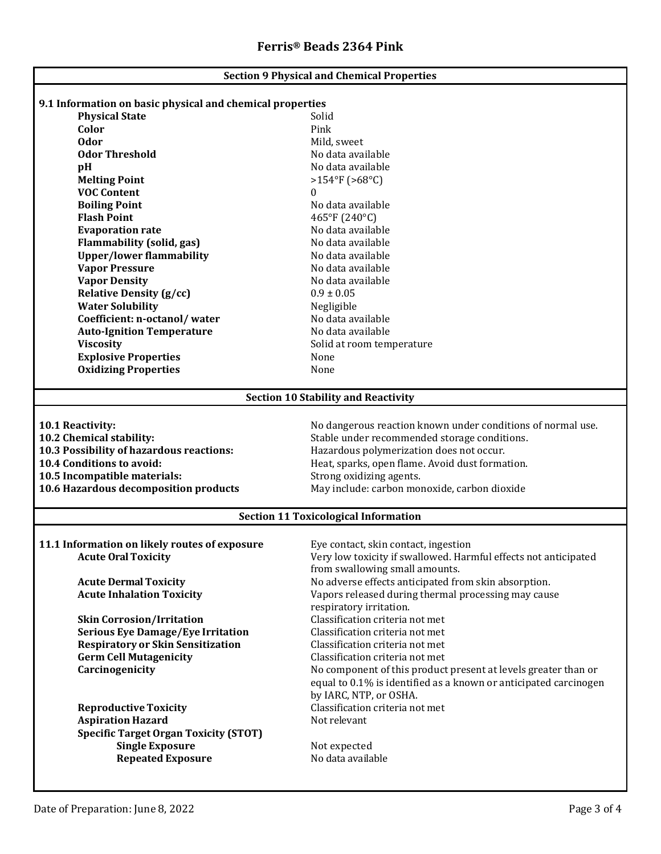| <b>Section 9 Physical and Chemical Properties</b>                                  |                                                                  |  |  |  |
|------------------------------------------------------------------------------------|------------------------------------------------------------------|--|--|--|
|                                                                                    |                                                                  |  |  |  |
| 9.1 Information on basic physical and chemical properties<br><b>Physical State</b> | Solid                                                            |  |  |  |
| Color                                                                              | Pink                                                             |  |  |  |
| <b>Odor</b>                                                                        |                                                                  |  |  |  |
| <b>Odor Threshold</b>                                                              | Mild, sweet<br>No data available                                 |  |  |  |
|                                                                                    | No data available                                                |  |  |  |
| pH                                                                                 | $>154$ °F (>68°C)                                                |  |  |  |
| <b>Melting Point</b><br><b>VOC Content</b>                                         |                                                                  |  |  |  |
|                                                                                    | 0                                                                |  |  |  |
| <b>Boiling Point</b><br><b>Flash Point</b>                                         | No data available                                                |  |  |  |
|                                                                                    | 465°F (240°C)                                                    |  |  |  |
| <b>Evaporation rate</b>                                                            | No data available                                                |  |  |  |
| <b>Flammability (solid, gas)</b>                                                   | No data available                                                |  |  |  |
| <b>Upper/lower flammability</b>                                                    | No data available                                                |  |  |  |
| <b>Vapor Pressure</b>                                                              | No data available                                                |  |  |  |
| <b>Vapor Density</b>                                                               | No data available                                                |  |  |  |
| <b>Relative Density (g/cc)</b>                                                     | $0.9 \pm 0.05$                                                   |  |  |  |
| <b>Water Solubility</b>                                                            | Negligible                                                       |  |  |  |
| Coefficient: n-octanol/water                                                       | No data available                                                |  |  |  |
| <b>Auto-Ignition Temperature</b>                                                   | No data available                                                |  |  |  |
| <b>Viscosity</b>                                                                   | Solid at room temperature                                        |  |  |  |
| <b>Explosive Properties</b>                                                        | None                                                             |  |  |  |
| <b>Oxidizing Properties</b>                                                        | None                                                             |  |  |  |
| <b>Section 10 Stability and Reactivity</b>                                         |                                                                  |  |  |  |
|                                                                                    |                                                                  |  |  |  |
| 10.1 Reactivity:                                                                   | No dangerous reaction known under conditions of normal use.      |  |  |  |
| 10.2 Chemical stability:                                                           | Stable under recommended storage conditions.                     |  |  |  |
| 10.3 Possibility of hazardous reactions:                                           | Hazardous polymerization does not occur.                         |  |  |  |
| 10.4 Conditions to avoid:                                                          | Heat, sparks, open flame. Avoid dust formation.                  |  |  |  |
| 10.5 Incompatible materials:                                                       | Strong oxidizing agents.                                         |  |  |  |
| 10.6 Hazardous decomposition products                                              | May include: carbon monoxide, carbon dioxide                     |  |  |  |
| <b>Section 11 Toxicological Information</b>                                        |                                                                  |  |  |  |
|                                                                                    |                                                                  |  |  |  |
| 11.1 Information on likely routes of exposure                                      | Eye contact, skin contact, ingestion                             |  |  |  |
| <b>Acute Oral Toxicity</b>                                                         | Very low toxicity if swallowed. Harmful effects not anticipated  |  |  |  |
|                                                                                    | from swallowing small amounts.                                   |  |  |  |
| <b>Acute Dermal Toxicity</b>                                                       | No adverse effects anticipated from skin absorption.             |  |  |  |
| <b>Acute Inhalation Toxicity</b>                                                   | Vapors released during thermal processing may cause              |  |  |  |
|                                                                                    | respiratory irritation.                                          |  |  |  |
| <b>Skin Corrosion/Irritation</b>                                                   | Classification criteria not met                                  |  |  |  |
| <b>Serious Eye Damage/Eye Irritation</b>                                           | Classification criteria not met                                  |  |  |  |
| <b>Respiratory or Skin Sensitization</b>                                           | Classification criteria not met                                  |  |  |  |
| <b>Germ Cell Mutagenicity</b>                                                      | Classification criteria not met                                  |  |  |  |
| Carcinogenicity                                                                    | No component of this product present at levels greater than or   |  |  |  |
|                                                                                    | equal to 0.1% is identified as a known or anticipated carcinogen |  |  |  |
|                                                                                    | by IARC, NTP, or OSHA.                                           |  |  |  |
| <b>Reproductive Toxicity</b>                                                       | Classification criteria not met                                  |  |  |  |
| <b>Aspiration Hazard</b>                                                           | Not relevant                                                     |  |  |  |
| <b>Specific Target Organ Toxicity (STOT)</b>                                       |                                                                  |  |  |  |
| <b>Single Exposure</b>                                                             | Not expected                                                     |  |  |  |
| <b>Repeated Exposure</b>                                                           | No data available                                                |  |  |  |
|                                                                                    |                                                                  |  |  |  |